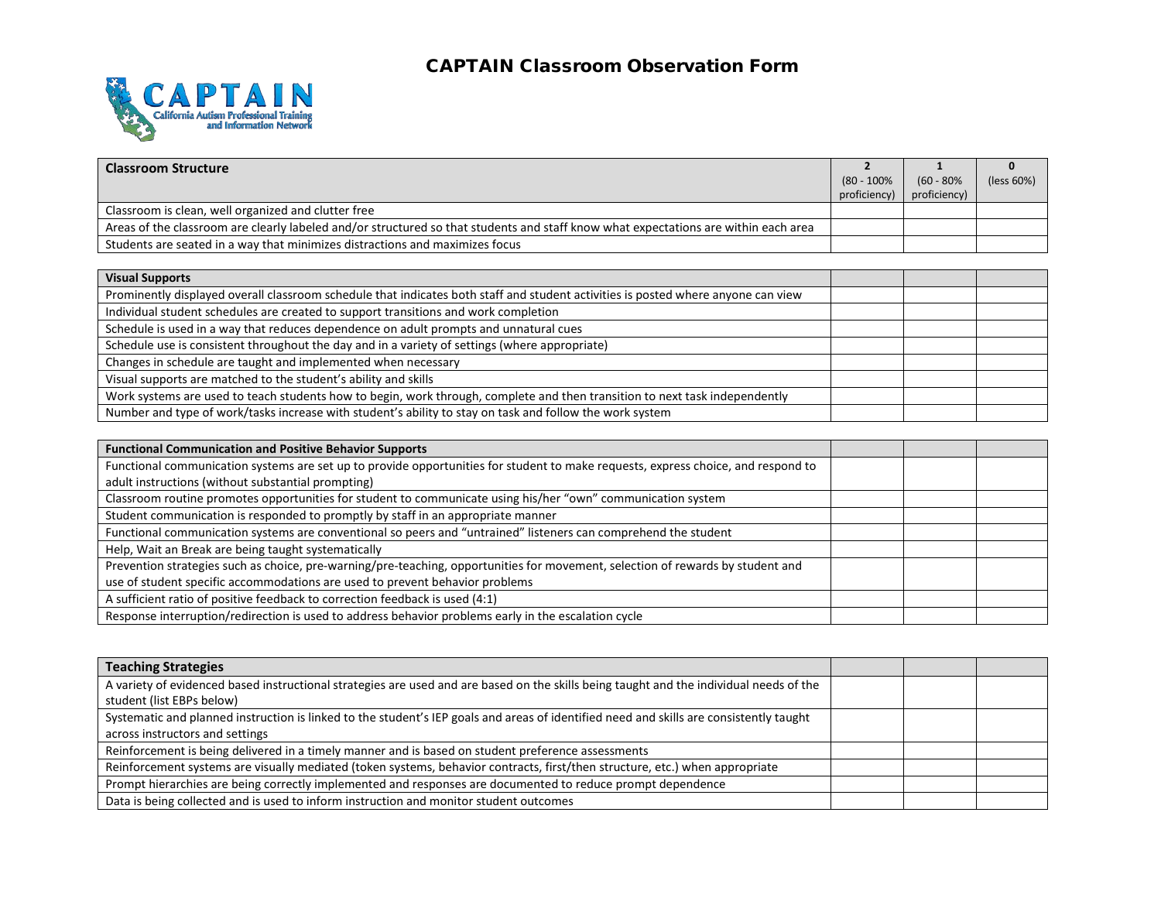## CAPTAIN Classroom Observation Form



| <b>Classroom Structure</b>                                                                                                          |                |               |            |
|-------------------------------------------------------------------------------------------------------------------------------------|----------------|---------------|------------|
|                                                                                                                                     | $(80 - 100\%)$ | $(60 - 80\%)$ | (less 60%) |
|                                                                                                                                     | proficiency)   | proficiency)  |            |
| Classroom is clean, well organized and clutter free                                                                                 |                |               |            |
| Areas of the classroom are clearly labeled and/or structured so that students and staff know what expectations are within each area |                |               |            |
| Students are seated in a way that minimizes distractions and maximizes focus                                                        |                |               |            |

| <b>Visual Supports</b>                                                                                                            |  |  |
|-----------------------------------------------------------------------------------------------------------------------------------|--|--|
| Prominently displayed overall classroom schedule that indicates both staff and student activities is posted where anyone can view |  |  |
| Individual student schedules are created to support transitions and work completion                                               |  |  |
| Schedule is used in a way that reduces dependence on adult prompts and unnatural cues                                             |  |  |
| Schedule use is consistent throughout the day and in a variety of settings (where appropriate)                                    |  |  |
| Changes in schedule are taught and implemented when necessary                                                                     |  |  |
| Visual supports are matched to the student's ability and skills                                                                   |  |  |
| Work systems are used to teach students how to begin, work through, complete and then transition to next task independently       |  |  |
| Number and type of work/tasks increase with student's ability to stay on task and follow the work system                          |  |  |

| <b>Functional Communication and Positive Behavior Supports</b>                                                                    |  |  |
|-----------------------------------------------------------------------------------------------------------------------------------|--|--|
| Functional communication systems are set up to provide opportunities for student to make requests, express choice, and respond to |  |  |
| adult instructions (without substantial prompting)                                                                                |  |  |
| Classroom routine promotes opportunities for student to communicate using his/her "own" communication system                      |  |  |
| Student communication is responded to promptly by staff in an appropriate manner                                                  |  |  |
| Functional communication systems are conventional so peers and "untrained" listeners can comprehend the student                   |  |  |
| Help, Wait an Break are being taught systematically                                                                               |  |  |
| Prevention strategies such as choice, pre-warning/pre-teaching, opportunities for movement, selection of rewards by student and   |  |  |
| use of student specific accommodations are used to prevent behavior problems                                                      |  |  |
| A sufficient ratio of positive feedback to correction feedback is used (4:1)                                                      |  |  |
| Response interruption/redirection is used to address behavior problems early in the escalation cycle                              |  |  |

| <b>Teaching Strategies</b>                                                                                                              |  |  |
|-----------------------------------------------------------------------------------------------------------------------------------------|--|--|
| A variety of evidenced based instructional strategies are used and are based on the skills being taught and the individual needs of the |  |  |
| student (list EBPs below)                                                                                                               |  |  |
| Systematic and planned instruction is linked to the student's IEP goals and areas of identified need and skills are consistently taught |  |  |
| across instructors and settings                                                                                                         |  |  |
| Reinforcement is being delivered in a timely manner and is based on student preference assessments                                      |  |  |
| Reinforcement systems are visually mediated (token systems, behavior contracts, first/then structure, etc.) when appropriate            |  |  |
| Prompt hierarchies are being correctly implemented and responses are documented to reduce prompt dependence                             |  |  |
| Data is being collected and is used to inform instruction and monitor student outcomes                                                  |  |  |